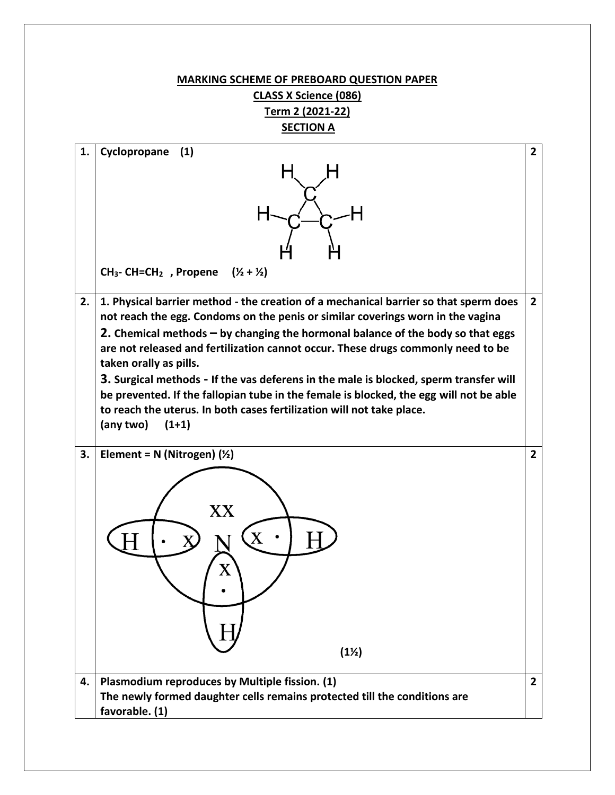## **MARKING SCHEME OF PREBOARD QUESTION PAPER CLASS X Science (086) Term 2 (2021-22)**

**SECTION A**

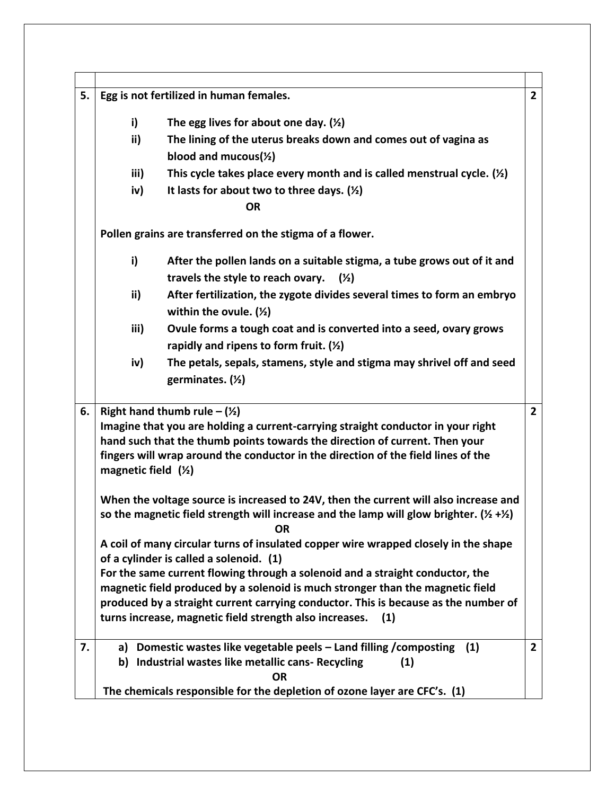| 5.<br>Egg is not fertilized in human females.<br>The egg lives for about one day. $(\frac{1}{2})$<br>i)<br>ii)<br>The lining of the uterus breaks down and comes out of vagina as<br>blood and mucous( $\frac{1}{2}$ )<br>This cycle takes place every month and is called menstrual cycle. $(\frac{1}{2})$<br>iii)<br>It lasts for about two to three days. $(\frac{1}{2})$<br>iv)<br><b>OR</b><br>Pollen grains are transferred on the stigma of a flower.<br>i)<br>After the pollen lands on a suitable stigma, a tube grows out of it and<br>travels the style to reach ovary.<br>$(\frac{1}{2})$<br>ii)<br>After fertilization, the zygote divides several times to form an embryo<br>within the ovule. $(Y_2)$<br>Ovule forms a tough coat and is converted into a seed, ovary grows<br>iii)<br>rapidly and ripens to form fruit. $(Y_2)$<br>The petals, sepals, stamens, style and stigma may shrivel off and seed<br>iv)<br>germinates. $($ 2)<br>6.<br>Right hand thumb rule $-(\frac{1}{2})$<br>Imagine that you are holding a current-carrying straight conductor in your right<br>hand such that the thumb points towards the direction of current. Then your<br>fingers will wrap around the conductor in the direction of the field lines of the<br>magnetic field $(½)$<br>When the voltage source is increased to 24V, then the current will also increase and<br>so the magnetic field strength will increase and the lamp will glow brighter. ( $\frac{1}{2} + \frac{1}{2}$ )<br><b>OR</b><br>A coil of many circular turns of insulated copper wire wrapped closely in the shape<br>of a cylinder is called a solenoid. (1)<br>For the same current flowing through a solenoid and a straight conductor, the<br>magnetic field produced by a solenoid is much stronger than the magnetic field<br>produced by a straight current carrying conductor. This is because as the number of<br>turns increase, magnetic field strength also increases.<br>(1)<br>Domestic wastes like vegetable peels - Land filling / composting<br>(1)<br>7.<br>a)<br>b) Industrial wastes like metallic cans- Recycling<br>(1)<br><b>OR</b> |  |                                                                           |                |  |
|---------------------------------------------------------------------------------------------------------------------------------------------------------------------------------------------------------------------------------------------------------------------------------------------------------------------------------------------------------------------------------------------------------------------------------------------------------------------------------------------------------------------------------------------------------------------------------------------------------------------------------------------------------------------------------------------------------------------------------------------------------------------------------------------------------------------------------------------------------------------------------------------------------------------------------------------------------------------------------------------------------------------------------------------------------------------------------------------------------------------------------------------------------------------------------------------------------------------------------------------------------------------------------------------------------------------------------------------------------------------------------------------------------------------------------------------------------------------------------------------------------------------------------------------------------------------------------------------------------------------------------------------------------------------------------------------------------------------------------------------------------------------------------------------------------------------------------------------------------------------------------------------------------------------------------------------------------------------------------------------------------------------------------------------------------------------------------------------------------------------------------------------|--|---------------------------------------------------------------------------|----------------|--|
|                                                                                                                                                                                                                                                                                                                                                                                                                                                                                                                                                                                                                                                                                                                                                                                                                                                                                                                                                                                                                                                                                                                                                                                                                                                                                                                                                                                                                                                                                                                                                                                                                                                                                                                                                                                                                                                                                                                                                                                                                                                                                                                                             |  |                                                                           |                |  |
|                                                                                                                                                                                                                                                                                                                                                                                                                                                                                                                                                                                                                                                                                                                                                                                                                                                                                                                                                                                                                                                                                                                                                                                                                                                                                                                                                                                                                                                                                                                                                                                                                                                                                                                                                                                                                                                                                                                                                                                                                                                                                                                                             |  |                                                                           |                |  |
|                                                                                                                                                                                                                                                                                                                                                                                                                                                                                                                                                                                                                                                                                                                                                                                                                                                                                                                                                                                                                                                                                                                                                                                                                                                                                                                                                                                                                                                                                                                                                                                                                                                                                                                                                                                                                                                                                                                                                                                                                                                                                                                                             |  |                                                                           |                |  |
|                                                                                                                                                                                                                                                                                                                                                                                                                                                                                                                                                                                                                                                                                                                                                                                                                                                                                                                                                                                                                                                                                                                                                                                                                                                                                                                                                                                                                                                                                                                                                                                                                                                                                                                                                                                                                                                                                                                                                                                                                                                                                                                                             |  |                                                                           |                |  |
|                                                                                                                                                                                                                                                                                                                                                                                                                                                                                                                                                                                                                                                                                                                                                                                                                                                                                                                                                                                                                                                                                                                                                                                                                                                                                                                                                                                                                                                                                                                                                                                                                                                                                                                                                                                                                                                                                                                                                                                                                                                                                                                                             |  |                                                                           |                |  |
|                                                                                                                                                                                                                                                                                                                                                                                                                                                                                                                                                                                                                                                                                                                                                                                                                                                                                                                                                                                                                                                                                                                                                                                                                                                                                                                                                                                                                                                                                                                                                                                                                                                                                                                                                                                                                                                                                                                                                                                                                                                                                                                                             |  |                                                                           |                |  |
|                                                                                                                                                                                                                                                                                                                                                                                                                                                                                                                                                                                                                                                                                                                                                                                                                                                                                                                                                                                                                                                                                                                                                                                                                                                                                                                                                                                                                                                                                                                                                                                                                                                                                                                                                                                                                                                                                                                                                                                                                                                                                                                                             |  |                                                                           |                |  |
|                                                                                                                                                                                                                                                                                                                                                                                                                                                                                                                                                                                                                                                                                                                                                                                                                                                                                                                                                                                                                                                                                                                                                                                                                                                                                                                                                                                                                                                                                                                                                                                                                                                                                                                                                                                                                                                                                                                                                                                                                                                                                                                                             |  |                                                                           |                |  |
|                                                                                                                                                                                                                                                                                                                                                                                                                                                                                                                                                                                                                                                                                                                                                                                                                                                                                                                                                                                                                                                                                                                                                                                                                                                                                                                                                                                                                                                                                                                                                                                                                                                                                                                                                                                                                                                                                                                                                                                                                                                                                                                                             |  |                                                                           |                |  |
|                                                                                                                                                                                                                                                                                                                                                                                                                                                                                                                                                                                                                                                                                                                                                                                                                                                                                                                                                                                                                                                                                                                                                                                                                                                                                                                                                                                                                                                                                                                                                                                                                                                                                                                                                                                                                                                                                                                                                                                                                                                                                                                                             |  |                                                                           |                |  |
|                                                                                                                                                                                                                                                                                                                                                                                                                                                                                                                                                                                                                                                                                                                                                                                                                                                                                                                                                                                                                                                                                                                                                                                                                                                                                                                                                                                                                                                                                                                                                                                                                                                                                                                                                                                                                                                                                                                                                                                                                                                                                                                                             |  |                                                                           |                |  |
|                                                                                                                                                                                                                                                                                                                                                                                                                                                                                                                                                                                                                                                                                                                                                                                                                                                                                                                                                                                                                                                                                                                                                                                                                                                                                                                                                                                                                                                                                                                                                                                                                                                                                                                                                                                                                                                                                                                                                                                                                                                                                                                                             |  |                                                                           |                |  |
|                                                                                                                                                                                                                                                                                                                                                                                                                                                                                                                                                                                                                                                                                                                                                                                                                                                                                                                                                                                                                                                                                                                                                                                                                                                                                                                                                                                                                                                                                                                                                                                                                                                                                                                                                                                                                                                                                                                                                                                                                                                                                                                                             |  |                                                                           |                |  |
|                                                                                                                                                                                                                                                                                                                                                                                                                                                                                                                                                                                                                                                                                                                                                                                                                                                                                                                                                                                                                                                                                                                                                                                                                                                                                                                                                                                                                                                                                                                                                                                                                                                                                                                                                                                                                                                                                                                                                                                                                                                                                                                                             |  |                                                                           |                |  |
|                                                                                                                                                                                                                                                                                                                                                                                                                                                                                                                                                                                                                                                                                                                                                                                                                                                                                                                                                                                                                                                                                                                                                                                                                                                                                                                                                                                                                                                                                                                                                                                                                                                                                                                                                                                                                                                                                                                                                                                                                                                                                                                                             |  |                                                                           |                |  |
|                                                                                                                                                                                                                                                                                                                                                                                                                                                                                                                                                                                                                                                                                                                                                                                                                                                                                                                                                                                                                                                                                                                                                                                                                                                                                                                                                                                                                                                                                                                                                                                                                                                                                                                                                                                                                                                                                                                                                                                                                                                                                                                                             |  |                                                                           |                |  |
|                                                                                                                                                                                                                                                                                                                                                                                                                                                                                                                                                                                                                                                                                                                                                                                                                                                                                                                                                                                                                                                                                                                                                                                                                                                                                                                                                                                                                                                                                                                                                                                                                                                                                                                                                                                                                                                                                                                                                                                                                                                                                                                                             |  |                                                                           | $\overline{2}$ |  |
|                                                                                                                                                                                                                                                                                                                                                                                                                                                                                                                                                                                                                                                                                                                                                                                                                                                                                                                                                                                                                                                                                                                                                                                                                                                                                                                                                                                                                                                                                                                                                                                                                                                                                                                                                                                                                                                                                                                                                                                                                                                                                                                                             |  |                                                                           |                |  |
|                                                                                                                                                                                                                                                                                                                                                                                                                                                                                                                                                                                                                                                                                                                                                                                                                                                                                                                                                                                                                                                                                                                                                                                                                                                                                                                                                                                                                                                                                                                                                                                                                                                                                                                                                                                                                                                                                                                                                                                                                                                                                                                                             |  |                                                                           |                |  |
|                                                                                                                                                                                                                                                                                                                                                                                                                                                                                                                                                                                                                                                                                                                                                                                                                                                                                                                                                                                                                                                                                                                                                                                                                                                                                                                                                                                                                                                                                                                                                                                                                                                                                                                                                                                                                                                                                                                                                                                                                                                                                                                                             |  |                                                                           |                |  |
|                                                                                                                                                                                                                                                                                                                                                                                                                                                                                                                                                                                                                                                                                                                                                                                                                                                                                                                                                                                                                                                                                                                                                                                                                                                                                                                                                                                                                                                                                                                                                                                                                                                                                                                                                                                                                                                                                                                                                                                                                                                                                                                                             |  |                                                                           |                |  |
|                                                                                                                                                                                                                                                                                                                                                                                                                                                                                                                                                                                                                                                                                                                                                                                                                                                                                                                                                                                                                                                                                                                                                                                                                                                                                                                                                                                                                                                                                                                                                                                                                                                                                                                                                                                                                                                                                                                                                                                                                                                                                                                                             |  |                                                                           |                |  |
|                                                                                                                                                                                                                                                                                                                                                                                                                                                                                                                                                                                                                                                                                                                                                                                                                                                                                                                                                                                                                                                                                                                                                                                                                                                                                                                                                                                                                                                                                                                                                                                                                                                                                                                                                                                                                                                                                                                                                                                                                                                                                                                                             |  |                                                                           |                |  |
|                                                                                                                                                                                                                                                                                                                                                                                                                                                                                                                                                                                                                                                                                                                                                                                                                                                                                                                                                                                                                                                                                                                                                                                                                                                                                                                                                                                                                                                                                                                                                                                                                                                                                                                                                                                                                                                                                                                                                                                                                                                                                                                                             |  |                                                                           |                |  |
|                                                                                                                                                                                                                                                                                                                                                                                                                                                                                                                                                                                                                                                                                                                                                                                                                                                                                                                                                                                                                                                                                                                                                                                                                                                                                                                                                                                                                                                                                                                                                                                                                                                                                                                                                                                                                                                                                                                                                                                                                                                                                                                                             |  |                                                                           |                |  |
|                                                                                                                                                                                                                                                                                                                                                                                                                                                                                                                                                                                                                                                                                                                                                                                                                                                                                                                                                                                                                                                                                                                                                                                                                                                                                                                                                                                                                                                                                                                                                                                                                                                                                                                                                                                                                                                                                                                                                                                                                                                                                                                                             |  |                                                                           |                |  |
|                                                                                                                                                                                                                                                                                                                                                                                                                                                                                                                                                                                                                                                                                                                                                                                                                                                                                                                                                                                                                                                                                                                                                                                                                                                                                                                                                                                                                                                                                                                                                                                                                                                                                                                                                                                                                                                                                                                                                                                                                                                                                                                                             |  |                                                                           | $\overline{2}$ |  |
|                                                                                                                                                                                                                                                                                                                                                                                                                                                                                                                                                                                                                                                                                                                                                                                                                                                                                                                                                                                                                                                                                                                                                                                                                                                                                                                                                                                                                                                                                                                                                                                                                                                                                                                                                                                                                                                                                                                                                                                                                                                                                                                                             |  |                                                                           |                |  |
|                                                                                                                                                                                                                                                                                                                                                                                                                                                                                                                                                                                                                                                                                                                                                                                                                                                                                                                                                                                                                                                                                                                                                                                                                                                                                                                                                                                                                                                                                                                                                                                                                                                                                                                                                                                                                                                                                                                                                                                                                                                                                                                                             |  | The chemicals responsible for the depletion of ozone layer are CFC's. (1) |                |  |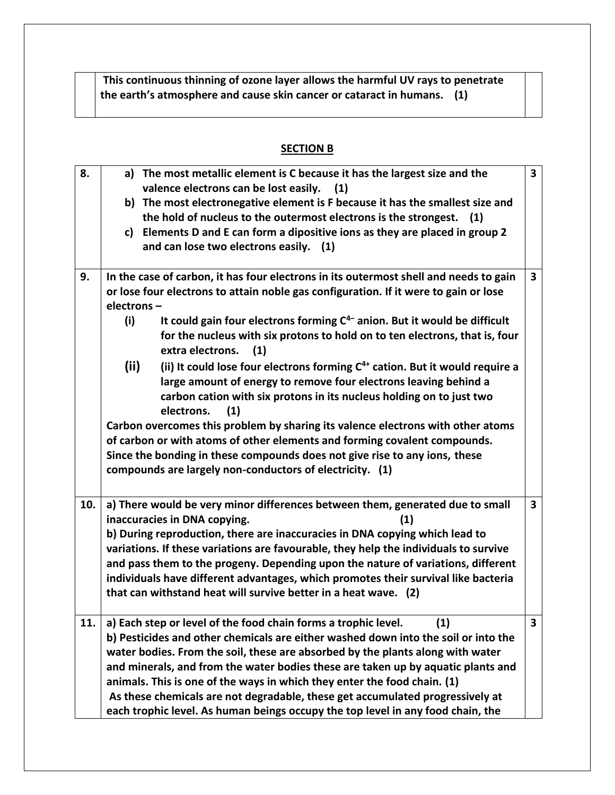**This continuous thinning of ozone layer allows the harmful UV rays to penetrate the earth's atmosphere and cause skin cancer or cataract in humans. (1)**

## **SECTION B**

| 8.  | a) The most metallic element is C because it has the largest size and the                  | $\overline{\mathbf{3}}$ |  |  |  |  |
|-----|--------------------------------------------------------------------------------------------|-------------------------|--|--|--|--|
|     | valence electrons can be lost easily.<br>(1)                                               |                         |  |  |  |  |
|     | b) The most electronegative element is F because it has the smallest size and              |                         |  |  |  |  |
|     | the hold of nucleus to the outermost electrons is the strongest.<br>(1)                    |                         |  |  |  |  |
|     | c) Elements D and E can form a dipositive ions as they are placed in group 2               |                         |  |  |  |  |
|     | and can lose two electrons easily. (1)                                                     |                         |  |  |  |  |
|     |                                                                                            |                         |  |  |  |  |
| 9.  | In the case of carbon, it has four electrons in its outermost shell and needs to gain      | $\overline{\mathbf{3}}$ |  |  |  |  |
|     | or lose four electrons to attain noble gas configuration. If it were to gain or lose       |                         |  |  |  |  |
|     | electrons-                                                                                 |                         |  |  |  |  |
|     | It could gain four electrons forming $C^{4-}$ anion. But it would be difficult<br>(i)      |                         |  |  |  |  |
|     | for the nucleus with six protons to hold on to ten electrons, that is, four                |                         |  |  |  |  |
|     | extra electrons.<br>(1)                                                                    |                         |  |  |  |  |
|     | (iii)<br>(ii) It could lose four electrons forming $C^{4+}$ cation. But it would require a |                         |  |  |  |  |
|     | large amount of energy to remove four electrons leaving behind a                           |                         |  |  |  |  |
|     | carbon cation with six protons in its nucleus holding on to just two                       |                         |  |  |  |  |
|     | electrons.<br>(1)                                                                          |                         |  |  |  |  |
|     | Carbon overcomes this problem by sharing its valence electrons with other atoms            |                         |  |  |  |  |
|     | of carbon or with atoms of other elements and forming covalent compounds.                  |                         |  |  |  |  |
|     | Since the bonding in these compounds does not give rise to any ions, these                 |                         |  |  |  |  |
|     | compounds are largely non-conductors of electricity. (1)                                   |                         |  |  |  |  |
|     |                                                                                            |                         |  |  |  |  |
|     |                                                                                            |                         |  |  |  |  |
| 10. | a) There would be very minor differences between them, generated due to small              | $\overline{\mathbf{3}}$ |  |  |  |  |
|     | inaccuracies in DNA copying.<br>(1)                                                        |                         |  |  |  |  |
|     | b) During reproduction, there are inaccuracies in DNA copying which lead to                |                         |  |  |  |  |
|     | variations. If these variations are favourable, they help the individuals to survive       |                         |  |  |  |  |
|     | and pass them to the progeny. Depending upon the nature of variations, different           |                         |  |  |  |  |
|     | individuals have different advantages, which promotes their survival like bacteria         |                         |  |  |  |  |
|     | that can withstand heat will survive better in a heat wave. (2)                            |                         |  |  |  |  |
| 11. | a) Each step or level of the food chain forms a trophic level.<br>(1)                      | 3                       |  |  |  |  |
|     | b) Pesticides and other chemicals are either washed down into the soil or into the         |                         |  |  |  |  |
|     | water bodies. From the soil, these are absorbed by the plants along with water             |                         |  |  |  |  |
|     | and minerals, and from the water bodies these are taken up by aquatic plants and           |                         |  |  |  |  |
|     | animals. This is one of the ways in which they enter the food chain. (1)                   |                         |  |  |  |  |
|     | As these chemicals are not degradable, these get accumulated progressively at              |                         |  |  |  |  |
|     | each trophic level. As human beings occupy the top level in any food chain, the            |                         |  |  |  |  |
|     |                                                                                            |                         |  |  |  |  |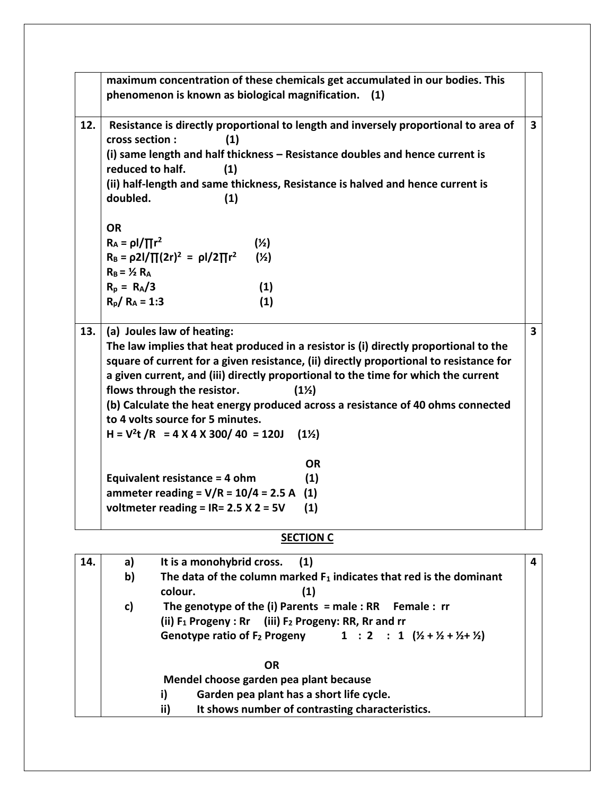|     |                                                                                                                              | maximum concentration of these chemicals get accumulated in our bodies. This                               |   |  |  |
|-----|------------------------------------------------------------------------------------------------------------------------------|------------------------------------------------------------------------------------------------------------|---|--|--|
|     |                                                                                                                              | phenomenon is known as biological magnification. (1)                                                       |   |  |  |
|     |                                                                                                                              |                                                                                                            |   |  |  |
| 12. |                                                                                                                              | Resistance is directly proportional to length and inversely proportional to area of                        | 3 |  |  |
|     | cross section :                                                                                                              | (1)                                                                                                        |   |  |  |
|     | reduced to half.                                                                                                             | (i) same length and half thickness - Resistance doubles and hence current is                               |   |  |  |
|     |                                                                                                                              | (1)<br>(ii) half-length and same thickness, Resistance is halved and hence current is                      |   |  |  |
|     | doubled.                                                                                                                     | (1)                                                                                                        |   |  |  |
|     |                                                                                                                              |                                                                                                            |   |  |  |
|     | <b>OR</b>                                                                                                                    |                                                                                                            |   |  |  |
|     | $R_A = \rho I / \prod r^2$                                                                                                   | $(\frac{1}{2})$                                                                                            |   |  |  |
|     |                                                                                                                              | $R_B = \frac{\rho 2l}{\prod (2r)^2} = \frac{\rho l}{2 \prod r^2}$<br>$(\frac{1}{2})$                       |   |  |  |
|     | $R_B = \frac{1}{2} R_A$                                                                                                      |                                                                                                            |   |  |  |
|     | $R_p = R_A/3$                                                                                                                | (1)                                                                                                        |   |  |  |
|     | $R_p/R_A = 1:3$                                                                                                              | (1)                                                                                                        |   |  |  |
|     |                                                                                                                              |                                                                                                            |   |  |  |
| 13. |                                                                                                                              | (a) Joules law of heating:                                                                                 | 3 |  |  |
|     | The law implies that heat produced in a resistor is (i) directly proportional to the                                         |                                                                                                            |   |  |  |
|     |                                                                                                                              | square of current for a given resistance, (ii) directly proportional to resistance for                     |   |  |  |
|     | a given current, and (iii) directly proportional to the time for which the current<br>flows through the resistor.<br>$(1\%)$ |                                                                                                            |   |  |  |
|     |                                                                                                                              | (b) Calculate the heat energy produced across a resistance of 40 ohms connected                            |   |  |  |
|     |                                                                                                                              | to 4 volts source for 5 minutes.                                                                           |   |  |  |
|     |                                                                                                                              | $H = V^2t / R = 4 X 4 X 300 / 40 = 120J$<br>$(1\%)$                                                        |   |  |  |
|     |                                                                                                                              |                                                                                                            |   |  |  |
|     |                                                                                                                              | <b>OR</b>                                                                                                  |   |  |  |
|     |                                                                                                                              | (1)<br>Equivalent resistance = 4 ohm                                                                       |   |  |  |
|     |                                                                                                                              | ammeter reading = $V/R = 10/4 = 2.5 A$<br>(1)                                                              |   |  |  |
|     |                                                                                                                              | voltmeter reading = $IR = 2.5 X 2 = 5V$<br>(1)                                                             |   |  |  |
|     |                                                                                                                              | <b>SECTION C</b>                                                                                           |   |  |  |
|     |                                                                                                                              |                                                                                                            |   |  |  |
| 14. | a)                                                                                                                           | It is a monohybrid cross.<br>(1)<br>The data of the column marked $F_1$ indicates that red is the dominant | 4 |  |  |
|     | b)                                                                                                                           | (1)<br>colour.                                                                                             |   |  |  |
|     | c)                                                                                                                           | The genotype of the (i) Parents = male : RR Female : $rr$                                                  |   |  |  |
|     |                                                                                                                              | (ii) $F_1$ Progeny : Rr (iii) $F_2$ Progeny: RR, Rr and rr                                                 |   |  |  |
|     |                                                                                                                              | Genotype ratio of F <sub>2</sub> Progeny 1 : 2 : 1 $(Y_2 + Y_2 + Y_3 + Y_2)$                               |   |  |  |
|     |                                                                                                                              |                                                                                                            |   |  |  |
|     |                                                                                                                              | <b>OR</b>                                                                                                  |   |  |  |

- **Mendel choose garden pea plant because**
- **i) Garden pea plant has a short life cycle. It shows number of contrasting characteristics.**